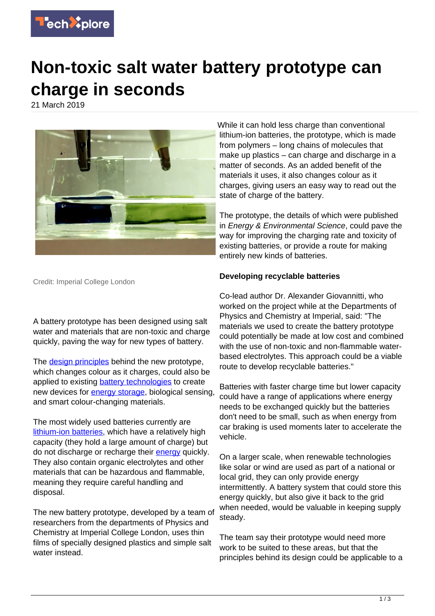

## **Non-toxic salt water battery prototype can charge in seconds**

21 March 2019



Credit: Imperial College London

A battery prototype has been designed using salt water and materials that are non-toxic and charge quickly, paving the way for new types of battery.

The [design principles](https://techxplore.com/tags/design+principles/) behind the new prototype. which changes colour as it charges, could also be applied to existing [battery technologies](https://techxplore.com/tags/battery+technologies/) to create new devices for [energy storage](https://techxplore.com/tags/energy+storage/), biological sensing. and smart colour-changing materials.

The most widely used batteries currently are [lithium-ion batteries,](https://techxplore.com/tags/lithium-ion+batteries/) which have a relatively high capacity (they hold a large amount of charge) but do not discharge or recharge their [energy](https://techxplore.com/tags/energy/) quickly. They also contain organic electrolytes and other materials that can be hazardous and flammable, meaning they require careful handling and disposal.

The new battery prototype, developed by a team of researchers from the departments of Physics and Chemistry at Imperial College London, uses thin films of specially designed plastics and simple salt water instead.

While it can hold less charge than conventional lithium-ion batteries, the prototype, which is made from polymers – long chains of molecules that make up plastics – can charge and discharge in a matter of seconds. As an added benefit of the materials it uses, it also changes colour as it charges, giving users an easy way to read out the state of charge of the battery.

The prototype, the details of which were published in Energy & Environmental Science, could pave the way for improving the charging rate and toxicity of existing batteries, or provide a route for making entirely new kinds of batteries.

## **Developing recyclable batteries**

Co-lead author Dr. Alexander Giovannitti, who worked on the project while at the Departments of Physics and Chemistry at Imperial, said: "The materials we used to create the battery prototype could potentially be made at low cost and combined with the use of non-toxic and non-flammable waterbased electrolytes. This approach could be a viable route to develop recyclable batteries."

Batteries with faster charge time but lower capacity could have a range of applications where energy needs to be exchanged quickly but the batteries don't need to be small, such as when energy from car braking is used moments later to accelerate the vehicle.

On a larger scale, when renewable technologies like solar or wind are used as part of a national or local grid, they can only provide energy intermittently. A battery system that could store this energy quickly, but also give it back to the grid when needed, would be valuable in keeping supply steady.

The team say their prototype would need more work to be suited to these areas, but that the principles behind its design could be applicable to a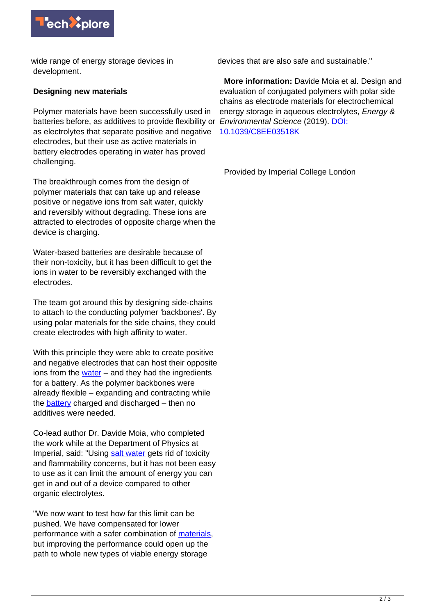

wide range of energy storage devices in development.

## **Designing new materials**

Polymer materials have been successfully used in batteries before, as additives to provide flexibility or Environmental Science (2019). [DOI:](http://dx.doi.org/10.1039/C8EE03518K) as electrolytes that separate positive and negative electrodes, but their use as active materials in battery electrodes operating in water has proved challenging.

The breakthrough comes from the design of polymer materials that can take up and release positive or negative ions from salt water, quickly and reversibly without degrading. These ions are attracted to electrodes of opposite charge when the device is charging.

Water-based batteries are desirable because of their non-toxicity, but it has been difficult to get the ions in water to be reversibly exchanged with the electrodes.

The team got around this by designing side-chains to attach to the conducting polymer 'backbones'. By using polar materials for the side chains, they could create electrodes with high affinity to water.

With this principle they were able to create positive and negative electrodes that can host their opposite ions from the [water](https://techxplore.com/tags/water/) – and they had the ingredients for a battery. As the polymer backbones were already flexible – expanding and contracting while the [battery](https://techxplore.com/tags/battery/) charged and discharged – then no additives were needed.

Co-lead author Dr. Davide Moia, who completed the work while at the Department of Physics at Imperial, said: "Using [salt water](https://techxplore.com/tags/salt+water/) gets rid of toxicity and flammability concerns, but it has not been easy to use as it can limit the amount of energy you can get in and out of a device compared to other organic electrolytes.

"We now want to test how far this limit can be pushed. We have compensated for lower performance with a safer combination of materials. but improving the performance could open up the path to whole new types of viable energy storage

devices that are also safe and sustainable."

 **More information:** Davide Moia et al. Design and evaluation of conjugated polymers with polar side chains as electrode materials for electrochemical energy storage in aqueous electrolytes, Energy & [10.1039/C8EE03518K](http://dx.doi.org/10.1039/C8EE03518K)

Provided by Imperial College London